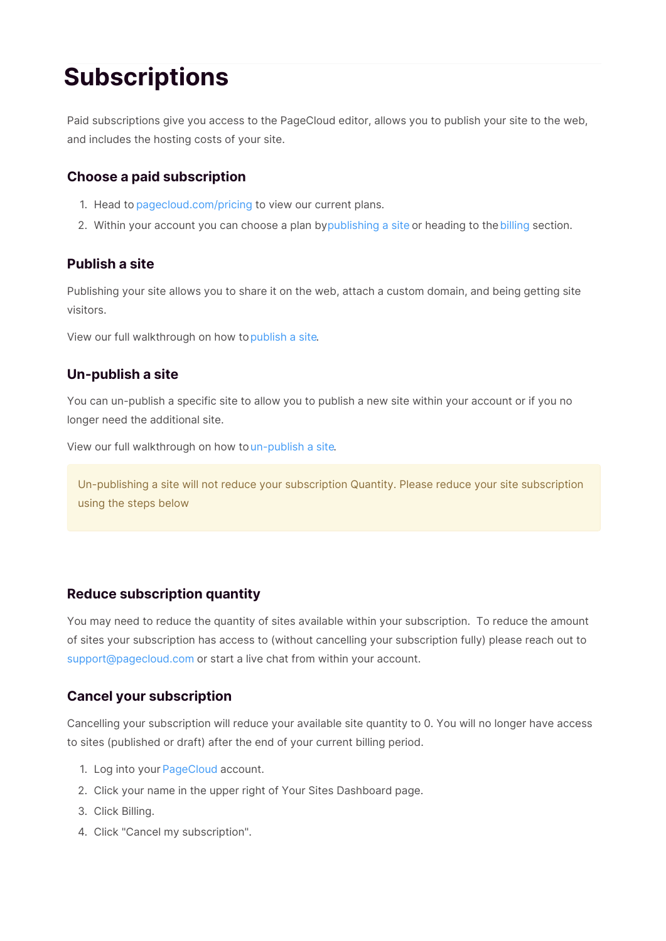# **Subscriptions**

Paid subscriptions give you access to the PageCloud editor, allows you to publish your site to the web, and includes the hosting costs of your site.

### **Choose a paid subscription**

- 1. Head to pagecloud.com/pricing to view our current plans.
- 2. Within your account you can choose a plan bypublishing a site or heading to thebilling section.

#### **Publish a site**

Publishing your site allows you to share it on the web, attach a custom domain, and being getting site visitors.

View our full walkthrough on how topublish a site.

#### **Un-publish a site**

You can un-publish a specific site to allow you to publish a new site within your account or if you no longer need the additional site.

View our full walkthrough on how toun-publish a site.

Un-publishing a site will not reduce your subscription Quantity. Please reduce your site subscription using the steps below

## **Reduce subscription quantity**

You may need to reduce the quantity of sites available within your subscription. To reduce the amount of sites your subscription has access to (without cancelling your subscription fully) please reach out to support@pagecloud.com or start a live chat from within your account.

## **Cancel your subscription**

Cancelling your subscription will reduce your available site quantity to 0. You will no longer have access to sites (published or draft) after the end of your current billing period.

- 1. Log into your PageCloud account.
- 2. Click your name in the upper right of Your Sites Dashboard page.
- 3. Click Billing.
- 4. Click "Cancel my subscription".